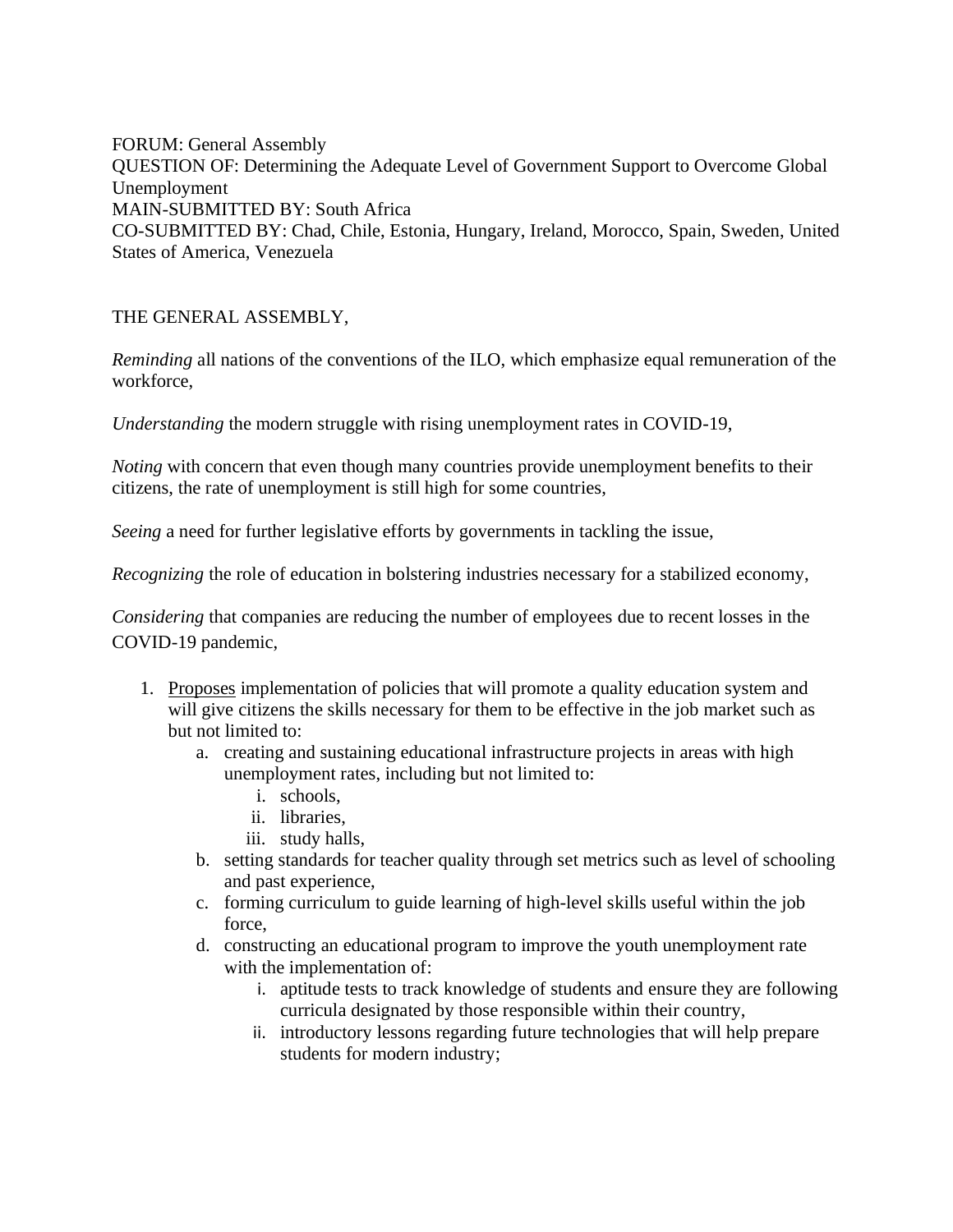FORUM: General Assembly QUESTION OF: Determining the Adequate Level of Government Support to Overcome Global Unemployment MAIN-SUBMITTED BY: South Africa CO-SUBMITTED BY: Chad, Chile, Estonia, Hungary, Ireland, Morocco, Spain, Sweden, United States of America, Venezuela

## THE GENERAL ASSEMBLY,

*Reminding* all nations of the conventions of the ILO, which emphasize equal remuneration of the workforce,

*Understanding* the modern struggle with rising unemployment rates in COVID-19,

*Noting* with concern that even though many countries provide unemployment benefits to their citizens, the rate of unemployment is still high for some countries,

*Seeing* a need for further legislative efforts by governments in tackling the issue,

*Recognizing* the role of education in bolstering industries necessary for a stabilized economy,

*Considering* that companies are reducing the number of employees due to recent losses in the COVID-19 pandemic,

- 1. Proposes implementation of policies that will promote a quality education system and will give citizens the skills necessary for them to be effective in the job market such as but not limited to:
	- a. creating and sustaining educational infrastructure projects in areas with high unemployment rates, including but not limited to:
		- i. schools,
		- ii. libraries,
		- iii. study halls,
	- b. setting standards for teacher quality through set metrics such as level of schooling and past experience,
	- c. forming curriculum to guide learning of high-level skills useful within the job force,
	- d. constructing an educational program to improve the youth unemployment rate with the implementation of:
		- i. aptitude tests to track knowledge of students and ensure they are following curricula designated by those responsible within their country,
		- ii. introductory lessons regarding future technologies that will help prepare students for modern industry;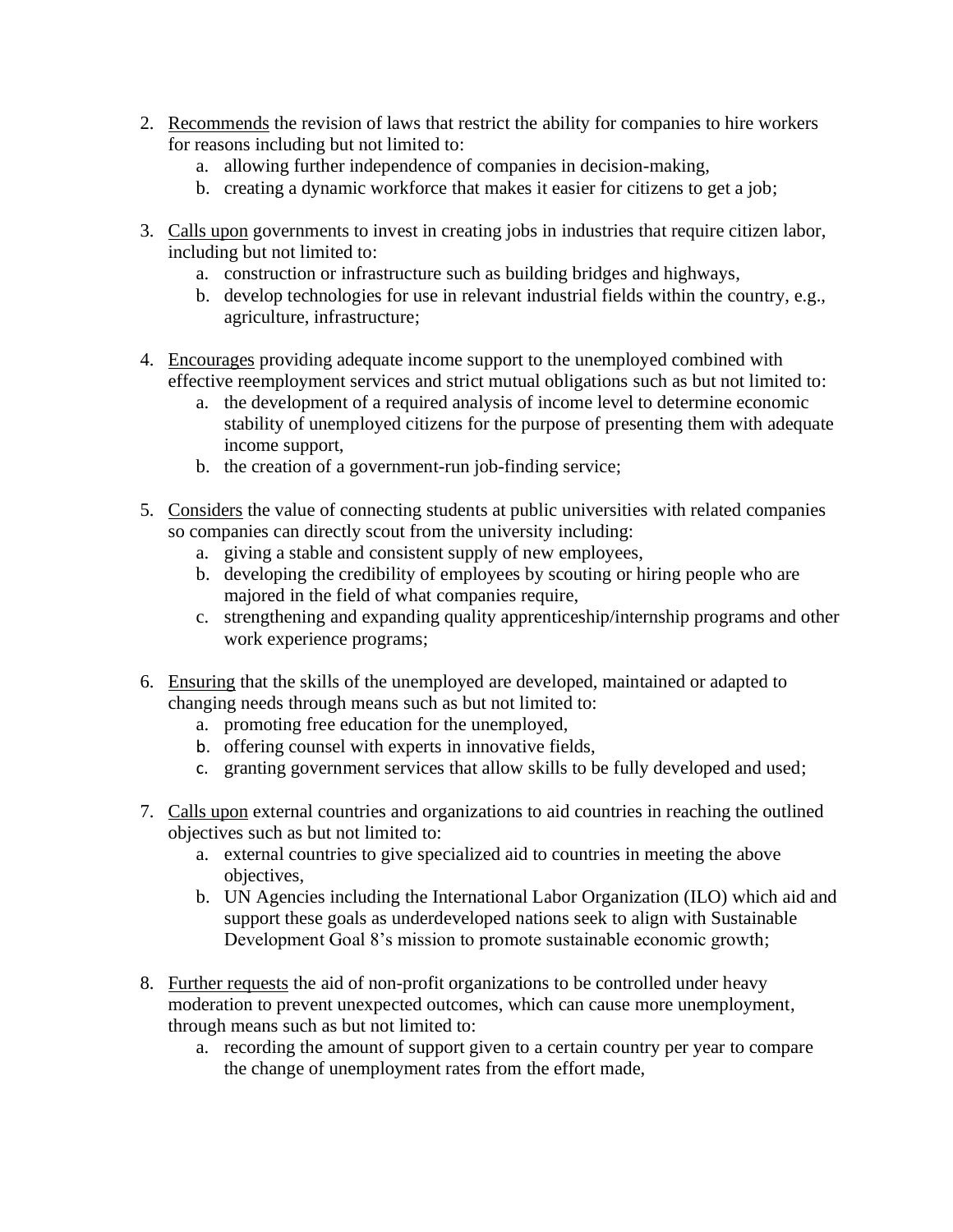- 2. Recommends the revision of laws that restrict the ability for companies to hire workers for reasons including but not limited to:
	- a. allowing further independence of companies in decision-making,
	- b. creating a dynamic workforce that makes it easier for citizens to get a job;
- 3. Calls upon governments to invest in creating jobs in industries that require citizen labor, including but not limited to:
	- a. construction or infrastructure such as building bridges and highways,
	- b. develop technologies for use in relevant industrial fields within the country, e.g., agriculture, infrastructure;
- 4. Encourages providing adequate income support to the unemployed combined with effective reemployment services and strict mutual obligations such as but not limited to:
	- a. the development of a required analysis of income level to determine economic stability of unemployed citizens for the purpose of presenting them with adequate income support,
	- b. the creation of a government-run job-finding service;
- 5. Considers the value of connecting students at public universities with related companies so companies can directly scout from the university including:
	- a. giving a stable and consistent supply of new employees,
	- b. developing the credibility of employees by scouting or hiring people who are majored in the field of what companies require,
	- c. strengthening and expanding quality apprenticeship/internship programs and other work experience programs;
- 6. Ensuring that the skills of the unemployed are developed, maintained or adapted to changing needs through means such as but not limited to:
	- a. promoting free education for the unemployed,
	- b. offering counsel with experts in innovative fields,
	- c. granting government services that allow skills to be fully developed and used;
- 7. Calls upon external countries and organizations to aid countries in reaching the outlined objectives such as but not limited to:
	- a. external countries to give specialized aid to countries in meeting the above objectives,
	- b. UN Agencies including the International Labor Organization (ILO) which aid and support these goals as underdeveloped nations seek to align with Sustainable Development Goal 8's mission to promote sustainable economic growth;
- 8. Further requests the aid of non-profit organizations to be controlled under heavy moderation to prevent unexpected outcomes, which can cause more unemployment, through means such as but not limited to:
	- a. recording the amount of support given to a certain country per year to compare the change of unemployment rates from the effort made,